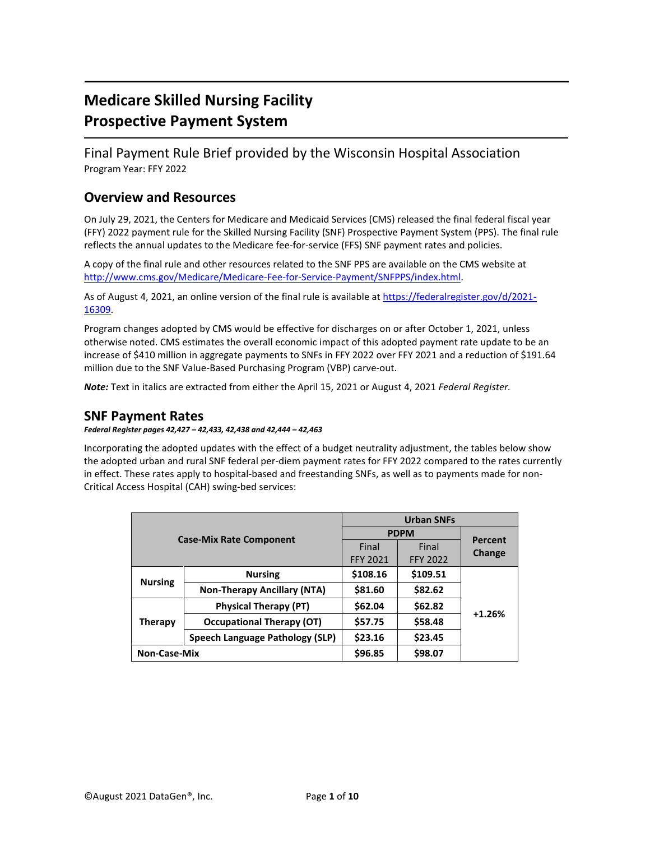# **Medicare Skilled Nursing Facility Prospective Payment System**

Final Payment Rule Brief provided by the Wisconsin Hospital Association Program Year: FFY 2022

## **Overview and Resources**

On July 29, 2021, the Centers for Medicare and Medicaid Services (CMS) released the final federal fiscal year (FFY) 2022 payment rule for the Skilled Nursing Facility (SNF) Prospective Payment System (PPS). The final rule reflects the annual updates to the Medicare fee-for-service (FFS) SNF payment rates and policies.

A copy of the final rule and other resources related to the SNF PPS are available on the CMS website at [http://www.cms.gov/Medicare/Medicare-Fee-for-Service-Payment/SNFPPS/index.html.](http://www.cms.gov/Medicare/Medicare-Fee-for-Service-Payment/SNFPPS/index.html)

As of August 4, 2021, an online version of the final rule is available at [https://federalregister.gov/d/2021-](https://federalregister.gov/d/2021-16309) [16309.](https://federalregister.gov/d/2021-16309)

Program changes adopted by CMS would be effective for discharges on or after October 1, 2021, unless otherwise noted. CMS estimates the overall economic impact of this adopted payment rate update to be an increase of \$410 million in aggregate payments to SNFs in FFY 2022 over FFY 2021 and a reduction of \$191.64 million due to the SNF Value-Based Purchasing Program (VBP) carve-out.

*Note:* Text in italics are extracted from either the April 15, 2021 or August 4, 2021 *Federal Register.*

### **SNF Payment Rates**

*Federal Register pages 42,427 – 42,433, 42,438 and 42,444 – 42,463*

Incorporating the adopted updates with the effect of a budget neutrality adjustment, the tables below show the adopted urban and rural SNF federal per-diem payment rates for FFY 2022 compared to the rates currently in effect. These rates apply to hospital-based and freestanding SNFs, as well as to payments made for non-Critical Access Hospital (CAH) swing-bed services:

|                     |                                    | <b>Urban SNFs</b> |                 |          |
|---------------------|------------------------------------|-------------------|-----------------|----------|
|                     |                                    | <b>PDPM</b>       |                 | Percent  |
|                     | <b>Case-Mix Rate Component</b>     | Final             | Final           | Change   |
|                     |                                    | <b>FFY 2021</b>   | <b>FFY 2022</b> |          |
|                     | <b>Nursing</b>                     | \$108.16          | \$109.51        |          |
| <b>Nursing</b>      | <b>Non-Therapy Ancillary (NTA)</b> | \$81.60           | \$82.62         |          |
| <b>Therapy</b>      | <b>Physical Therapy (PT)</b>       | \$62.04           | \$62.82         | $+1.26%$ |
|                     | <b>Occupational Therapy (OT)</b>   | \$57.75           | \$58.48         |          |
|                     | Speech Language Pathology (SLP)    | \$23.16           | \$23.45         |          |
| <b>Non-Case-Mix</b> |                                    | \$96.85           | \$98.07         |          |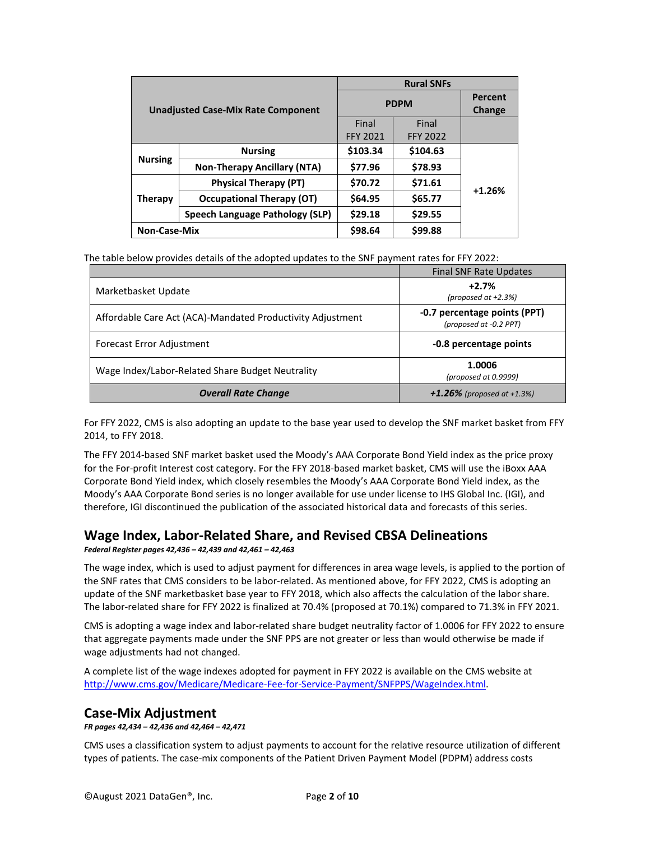| <b>Unadjusted Case-Mix Rate Component</b> |                                        | <b>Rural SNFs</b>                  |          |                   |
|-------------------------------------------|----------------------------------------|------------------------------------|----------|-------------------|
|                                           |                                        | <b>PDPM</b>                        |          | Percent<br>Change |
|                                           |                                        | Final                              | Final    |                   |
|                                           |                                        | <b>FFY 2021</b><br><b>FFY 2022</b> |          |                   |
| <b>Nursing</b><br>Therapy                 | <b>Nursing</b>                         | \$103.34                           | \$104.63 |                   |
|                                           | <b>Non-Therapy Ancillary (NTA)</b>     | \$77.96                            | \$78.93  |                   |
|                                           | <b>Physical Therapy (PT)</b>           | \$70.72                            | \$71.61  | $+1.26%$          |
|                                           | <b>Occupational Therapy (OT)</b>       | \$64.95                            | \$65.77  |                   |
|                                           | <b>Speech Language Pathology (SLP)</b> | \$29.18                            | \$29.55  |                   |
| <b>Non-Case-Mix</b>                       |                                        | \$98.64                            | \$99.88  |                   |

The table below provides details of the adopted updates to the SNF payment rates for FFY 2022:

|                                                            | <b>Final SNF Rate Updates</b>                          |
|------------------------------------------------------------|--------------------------------------------------------|
| Marketbasket Update                                        | $+2.7%$<br>(proposed at $+2.3%$ )                      |
| Affordable Care Act (ACA)-Mandated Productivity Adjustment | -0.7 percentage points (PPT)<br>(proposed at -0.2 PPT) |
| Forecast Error Adjustment                                  | -0.8 percentage points                                 |
| Wage Index/Labor-Related Share Budget Neutrality           | 1.0006<br>(proposed at 0.9999)                         |
| <b>Overall Rate Change</b>                                 | $+1.26\%$ (proposed at +1.3%)                          |

For FFY 2022, CMS is also adopting an update to the base year used to develop the SNF market basket from FFY 2014, to FFY 2018.

The FFY 2014-based SNF market basket used the Moody's AAA Corporate Bond Yield index as the price proxy for the For-profit Interest cost category. For the FFY 2018-based market basket, CMS will use the iBoxx AAA Corporate Bond Yield index, which closely resembles the Moody's AAA Corporate Bond Yield index, as the Moody's AAA Corporate Bond series is no longer available for use under license to IHS Global Inc. (IGI), and therefore, IGI discontinued the publication of the associated historical data and forecasts of this series.

# **Wage Index, Labor-Related Share, and Revised CBSA Delineations**

*Federal Register pages 42,436 – 42,439 and 42,461 – 42,463*

The wage index, which is used to adjust payment for differences in area wage levels, is applied to the portion of the SNF rates that CMS considers to be labor-related. As mentioned above, for FFY 2022, CMS is adopting an update of the SNF marketbasket base year to FFY 2018, which also affects the calculation of the labor share. The labor-related share for FFY 2022 is finalized at 70.4% (proposed at 70.1%) compared to 71.3% in FFY 2021.

CMS is adopting a wage index and labor-related share budget neutrality factor of 1.0006 for FFY 2022 to ensure that aggregate payments made under the SNF PPS are not greater or less than would otherwise be made if wage adjustments had not changed.

A complete list of the wage indexes adopted for payment in FFY 2022 is available on the CMS website at [http://www.cms.gov/Medicare/Medicare-Fee-for-Service-Payment/SNFPPS/WageIndex.html.](http://www.cms.gov/Medicare/Medicare-Fee-for-Service-Payment/SNFPPS/WageIndex.html)

# **Case-Mix Adjustment**

*FR pages 42,434 – 42,436 and 42,464 – 42,471*

CMS uses a classification system to adjust payments to account for the relative resource utilization of different types of patients. The case-mix components of the Patient Driven Payment Model (PDPM) address costs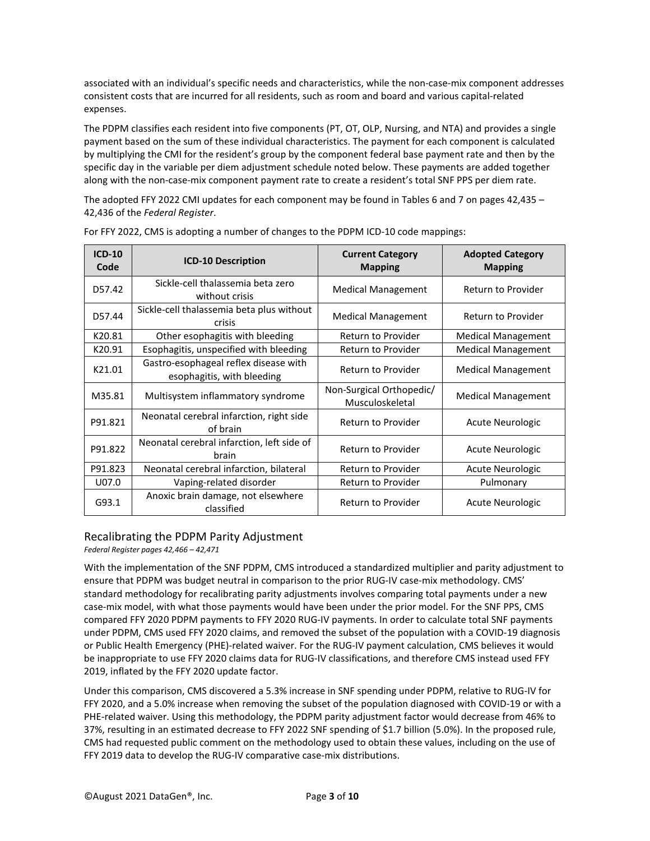associated with an individual's specific needs and characteristics, while the non-case-mix component addresses consistent costs that are incurred for all residents, such as room and board and various capital-related expenses.

The PDPM classifies each resident into five components (PT, OT, OLP, Nursing, and NTA) and provides a single payment based on the sum of these individual characteristics. The payment for each component is calculated by multiplying the CMI for the resident's group by the component federal base payment rate and then by the specific day in the variable per diem adjustment schedule noted below. These payments are added together along with the non-case-mix component payment rate to create a resident's total SNF PPS per diem rate.

The adopted FFY 2022 CMI updates for each component may be found in Tables 6 and 7 on pages 42,435 – 42,436 of the *Federal Register*.

| $ICD-10$<br>Code | <b>ICD-10 Description</b>                                           | <b>Current Category</b><br><b>Mapping</b>   | <b>Adopted Category</b><br><b>Mapping</b> |
|------------------|---------------------------------------------------------------------|---------------------------------------------|-------------------------------------------|
| D57.42           | Sickle-cell thalassemia beta zero<br>without crisis                 | <b>Medical Management</b>                   | <b>Return to Provider</b>                 |
| D57.44           | Sickle-cell thalassemia beta plus without<br>crisis                 | <b>Medical Management</b>                   | Return to Provider                        |
| K20.81           | Other esophagitis with bleeding                                     | Return to Provider                          | <b>Medical Management</b>                 |
| K20.91           | Esophagitis, unspecified with bleeding                              | Return to Provider                          | <b>Medical Management</b>                 |
| K21.01           | Gastro-esophageal reflex disease with<br>esophagitis, with bleeding | Return to Provider                          | <b>Medical Management</b>                 |
| M35.81           | Multisystem inflammatory syndrome                                   | Non-Surgical Orthopedic/<br>Musculoskeletal | <b>Medical Management</b>                 |
| P91.821          | Neonatal cerebral infarction, right side<br>of brain                | Return to Provider                          | Acute Neurologic                          |
| P91.822          | Neonatal cerebral infarction, left side of<br>hrain                 | Return to Provider                          | Acute Neurologic                          |
| P91.823          | Neonatal cerebral infarction, bilateral                             | Return to Provider                          | Acute Neurologic                          |
| U07.0            | Vaping-related disorder                                             | Return to Provider                          | Pulmonary                                 |
| G93.1            | Anoxic brain damage, not elsewhere<br>classified                    | Return to Provider                          | Acute Neurologic                          |

For FFY 2022, CMS is adopting a number of changes to the PDPM ICD-10 code mappings:

#### Recalibrating the PDPM Parity Adjustment

*Federal Register pages 42,466 – 42,471*

With the implementation of the SNF PDPM, CMS introduced a standardized multiplier and parity adjustment to ensure that PDPM was budget neutral in comparison to the prior RUG-IV case-mix methodology. CMS' standard methodology for recalibrating parity adjustments involves comparing total payments under a new case-mix model, with what those payments would have been under the prior model. For the SNF PPS, CMS compared FFY 2020 PDPM payments to FFY 2020 RUG-IV payments. In order to calculate total SNF payments under PDPM, CMS used FFY 2020 claims, and removed the subset of the population with a COVID-19 diagnosis or Public Health Emergency (PHE)-related waiver. For the RUG-IV payment calculation, CMS believes it would be inappropriate to use FFY 2020 claims data for RUG-IV classifications, and therefore CMS instead used FFY 2019, inflated by the FFY 2020 update factor.

Under this comparison, CMS discovered a 5.3% increase in SNF spending under PDPM, relative to RUG-IV for FFY 2020, and a 5.0% increase when removing the subset of the population diagnosed with COVID-19 or with a PHE-related waiver. Using this methodology, the PDPM parity adjustment factor would decrease from 46% to 37%, resulting in an estimated decrease to FFY 2022 SNF spending of \$1.7 billion (5.0%). In the proposed rule, CMS had requested public comment on the methodology used to obtain these values, including on the use of FFY 2019 data to develop the RUG-IV comparative case-mix distributions.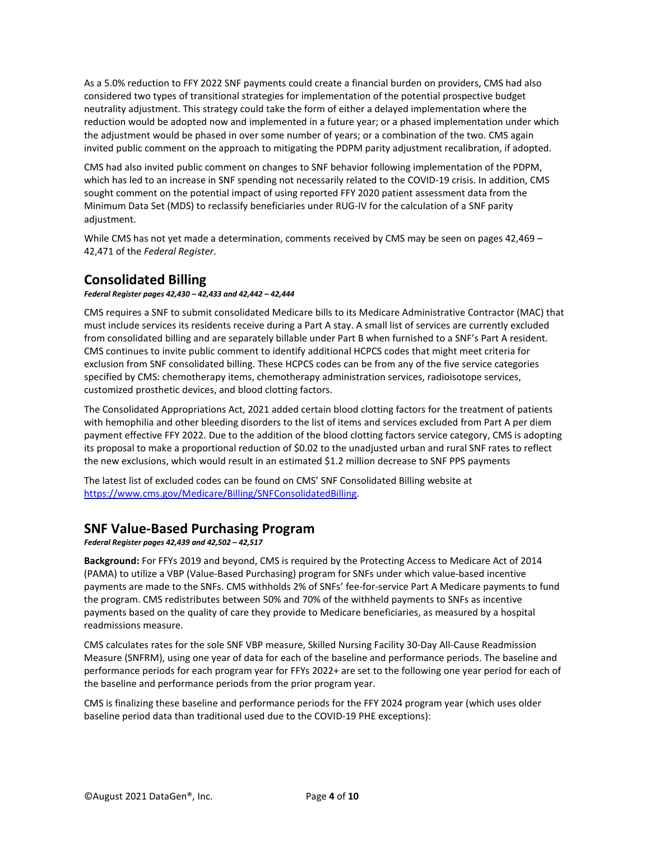As a 5.0% reduction to FFY 2022 SNF payments could create a financial burden on providers, CMS had also considered two types of transitional strategies for implementation of the potential prospective budget neutrality adjustment. This strategy could take the form of either a delayed implementation where the reduction would be adopted now and implemented in a future year; or a phased implementation under which the adjustment would be phased in over some number of years; or a combination of the two. CMS again invited public comment on the approach to mitigating the PDPM parity adjustment recalibration, if adopted.

CMS had also invited public comment on changes to SNF behavior following implementation of the PDPM, which has led to an increase in SNF spending not necessarily related to the COVID-19 crisis. In addition, CMS sought comment on the potential impact of using reported FFY 2020 patient assessment data from the Minimum Data Set (MDS) to reclassify beneficiaries under RUG-IV for the calculation of a SNF parity adjustment.

While CMS has not yet made a determination, comments received by CMS may be seen on pages 42,469 -42,471 of the *Federal Register*.

### **Consolidated Billing**

#### *Federal Register pages 42,430 – 42,433 and 42,442 – 42,444*

CMS requires a SNF to submit consolidated Medicare bills to its Medicare Administrative Contractor (MAC) that must include services its residents receive during a Part A stay. A small list of services are currently excluded from consolidated billing and are separately billable under Part B when furnished to a SNF's Part A resident. CMS continues to invite public comment to identify additional HCPCS codes that might meet criteria for exclusion from SNF consolidated billing. These HCPCS codes can be from any of the five service categories specified by CMS: chemotherapy items, chemotherapy administration services, radioisotope services, customized prosthetic devices, and blood clotting factors.

The Consolidated Appropriations Act, 2021 added certain blood clotting factors for the treatment of patients with hemophilia and other bleeding disorders to the list of items and services excluded from Part A per diem payment effective FFY 2022. Due to the addition of the blood clotting factors service category, CMS is adopting its proposal to make a proportional reduction of \$0.02 to the unadjusted urban and rural SNF rates to reflect the new exclusions, which would result in an estimated \$1.2 million decrease to SNF PPS payments

The latest list of excluded codes can be found on CMS' SNF Consolidated Billing website at [https://www.cms.gov/Medicare/Billing/SNFConsolidatedBilling.](https://www.cms.gov/Medicare/Billing/SNFConsolidatedBilling)

### **SNF Value-Based Purchasing Program**

#### *Federal Register pages 42,439 and 42,502 – 42,517*

**Background:** For FFYs 2019 and beyond, CMS is required by the Protecting Access to Medicare Act of 2014 (PAMA) to utilize a VBP (Value-Based Purchasing) program for SNFs under which value-based incentive payments are made to the SNFs. CMS withholds 2% of SNFs' fee-for-service Part A Medicare payments to fund the program. CMS redistributes between 50% and 70% of the withheld payments to SNFs as incentive payments based on the quality of care they provide to Medicare beneficiaries, as measured by a hospital readmissions measure.

CMS calculates rates for the sole SNF VBP measure, Skilled Nursing Facility 30-Day All-Cause Readmission Measure (SNFRM), using one year of data for each of the baseline and performance periods. The baseline and performance periods for each program year for FFYs 2022+ are set to the following one year period for each of the baseline and performance periods from the prior program year.

CMS is finalizing these baseline and performance periods for the FFY 2024 program year (which uses older baseline period data than traditional used due to the COVID-19 PHE exceptions):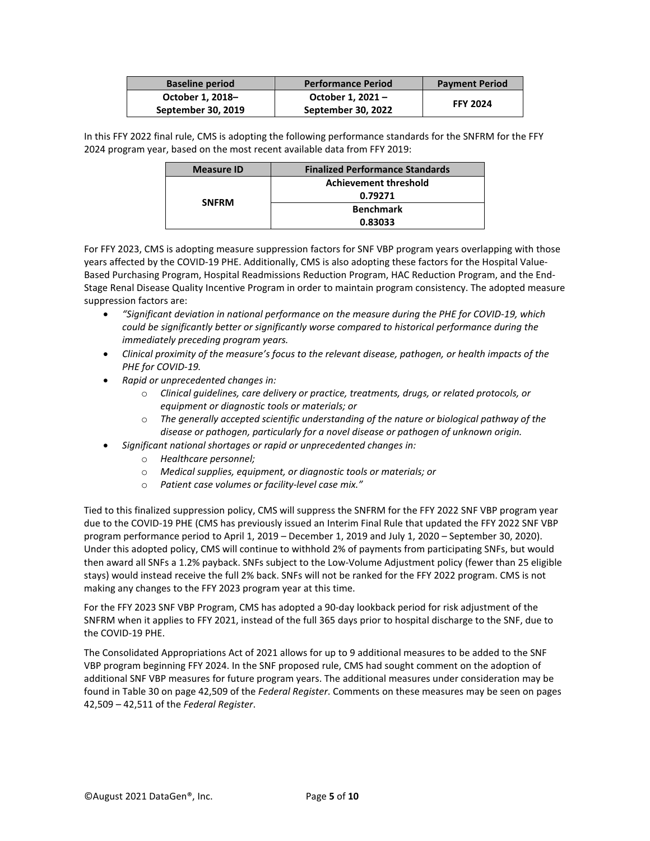| <b>Baseline period</b> | <b>Performance Period</b> | <b>Payment Period</b> |
|------------------------|---------------------------|-----------------------|
| October 1, 2018-       | October 1, 2021-          | <b>FFY 2024</b>       |
| September 30, 2019     | September 30, 2022        |                       |

In this FFY 2022 final rule, CMS is adopting the following performance standards for the SNFRM for the FFY 2024 program year, based on the most recent available data from FFY 2019:

| <b>Measure ID</b> | <b>Finalized Performance Standards</b> |  |
|-------------------|----------------------------------------|--|
|                   | <b>Achievement threshold</b>           |  |
|                   | 0.79271                                |  |
| <b>SNFRM</b>      | <b>Benchmark</b>                       |  |
|                   | 0.83033                                |  |

For FFY 2023, CMS is adopting measure suppression factors for SNF VBP program years overlapping with those years affected by the COVID-19 PHE. Additionally, CMS is also adopting these factors for the Hospital Value-Based Purchasing Program, Hospital Readmissions Reduction Program, HAC Reduction Program, and the End-Stage Renal Disease Quality Incentive Program in order to maintain program consistency. The adopted measure suppression factors are:

- *"Significant deviation in national performance on the measure during the PHE for COVID-19, which could be significantly better or significantly worse compared to historical performance during the immediately preceding program years.*
- *Clinical proximity of the measure's focus to the relevant disease, pathogen, or health impacts of the PHE for COVID-19.*
- *Rapid or unprecedented changes in:*
	- o *Clinical guidelines, care delivery or practice, treatments, drugs, or related protocols, or equipment or diagnostic tools or materials; or*
	- o *The generally accepted scientific understanding of the nature or biological pathway of the disease or pathogen, particularly for a novel disease or pathogen of unknown origin.*
- *Significant national shortages or rapid or unprecedented changes in:*
	- o *Healthcare personnel;*
	- o *Medical supplies, equipment, or diagnostic tools or materials; or*
	- o *Patient case volumes or facility-level case mix."*

Tied to this finalized suppression policy, CMS will suppress the SNFRM for the FFY 2022 SNF VBP program year due to the COVID-19 PHE (CMS has previously issued an Interim Final Rule that updated the FFY 2022 SNF VBP program performance period to April 1, 2019 – December 1, 2019 and July 1, 2020 – September 30, 2020). Under this adopted policy, CMS will continue to withhold 2% of payments from participating SNFs, but would then award all SNFs a 1.2% payback. SNFs subject to the Low-Volume Adjustment policy (fewer than 25 eligible stays) would instead receive the full 2% back. SNFs will not be ranked for the FFY 2022 program. CMS is not making any changes to the FFY 2023 program year at this time.

For the FFY 2023 SNF VBP Program, CMS has adopted a 90-day lookback period for risk adjustment of the SNFRM when it applies to FFY 2021, instead of the full 365 days prior to hospital discharge to the SNF, due to the COVID-19 PHE.

The Consolidated Appropriations Act of 2021 allows for up to 9 additional measures to be added to the SNF VBP program beginning FFY 2024. In the SNF proposed rule, CMS had sought comment on the adoption of additional SNF VBP measures for future program years. The additional measures under consideration may be found in Table 30 on page 42,509 of the *Federal Register*. Comments on these measures may be seen on pages 42,509 – 42,511 of the *Federal Register*.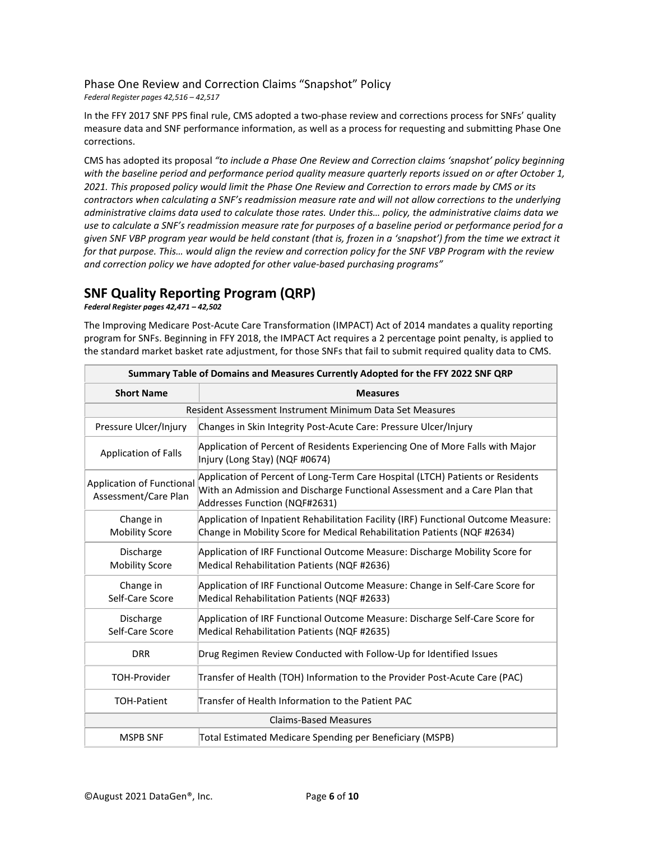### Phase One Review and Correction Claims "Snapshot" Policy

*Federal Register pages 42,516 – 42,517*

In the FFY 2017 SNF PPS final rule, CMS adopted a two-phase review and corrections process for SNFs' quality measure data and SNF performance information, as well as a process for requesting and submitting Phase One corrections.

CMS has adopted its proposal *"to include a Phase One Review and Correction claims 'snapshot' policy beginning with the baseline period and performance period quality measure quarterly reports issued on or after October 1, 2021. This proposed policy would limit the Phase One Review and Correction to errors made by CMS or its contractors when calculating a SNF's readmission measure rate and will not allow corrections to the underlying administrative claims data used to calculate those rates. Under this… policy, the administrative claims data we use to calculate a SNF's readmission measure rate for purposes of a baseline period or performance period for a given SNF VBP program year would be held constant (that is, frozen in a 'snapshot') from the time we extract it for that purpose. This… would align the review and correction policy for the SNF VBP Program with the review and correction policy we have adopted for other value-based purchasing programs"*

# **SNF Quality Reporting Program (QRP)**

*Federal Register pages 42,471 – 42,502*

The Improving Medicare Post-Acute Care Transformation (IMPACT) Act of 2014 mandates a quality reporting program for SNFs. Beginning in FFY 2018, the IMPACT Act requires a 2 percentage point penalty, is applied to the standard market basket rate adjustment, for those SNFs that fail to submit required quality data to CMS.

| Summary Table of Domains and Measures Currently Adopted for the FFY 2022 SNF QRP |                                                                                                                                                                                               |  |  |  |
|----------------------------------------------------------------------------------|-----------------------------------------------------------------------------------------------------------------------------------------------------------------------------------------------|--|--|--|
| <b>Short Name</b>                                                                | <b>Measures</b>                                                                                                                                                                               |  |  |  |
|                                                                                  | Resident Assessment Instrument Minimum Data Set Measures                                                                                                                                      |  |  |  |
| Pressure Ulcer/Injury                                                            | Changes in Skin Integrity Post-Acute Care: Pressure Ulcer/Injury                                                                                                                              |  |  |  |
| <b>Application of Falls</b>                                                      | Application of Percent of Residents Experiencing One of More Falls with Major<br>Injury (Long Stay) (NQF #0674)                                                                               |  |  |  |
| <b>Application of Functional</b><br>Assessment/Care Plan                         | Application of Percent of Long-Term Care Hospital (LTCH) Patients or Residents<br>With an Admission and Discharge Functional Assessment and a Care Plan that<br>Addresses Function (NQF#2631) |  |  |  |
| Change in<br><b>Mobility Score</b>                                               | Application of Inpatient Rehabilitation Facility (IRF) Functional Outcome Measure:<br>Change in Mobility Score for Medical Rehabilitation Patients (NQF #2634)                                |  |  |  |
| Discharge<br><b>Mobility Score</b>                                               | Application of IRF Functional Outcome Measure: Discharge Mobility Score for<br>Medical Rehabilitation Patients (NQF #2636)                                                                    |  |  |  |
| Change in<br>Self-Care Score                                                     | Application of IRF Functional Outcome Measure: Change in Self-Care Score for<br>Medical Rehabilitation Patients (NQF #2633)                                                                   |  |  |  |
| Discharge<br>Self-Care Score                                                     | Application of IRF Functional Outcome Measure: Discharge Self-Care Score for<br>Medical Rehabilitation Patients (NQF #2635)                                                                   |  |  |  |
| <b>DRR</b>                                                                       | Drug Regimen Review Conducted with Follow-Up for Identified Issues                                                                                                                            |  |  |  |
| <b>TOH-Provider</b>                                                              | Transfer of Health (TOH) Information to the Provider Post-Acute Care (PAC)                                                                                                                    |  |  |  |
| <b>TOH-Patient</b>                                                               | Transfer of Health Information to the Patient PAC                                                                                                                                             |  |  |  |
|                                                                                  | <b>Claims-Based Measures</b>                                                                                                                                                                  |  |  |  |
| <b>MSPB SNF</b>                                                                  | Total Estimated Medicare Spending per Beneficiary (MSPB)                                                                                                                                      |  |  |  |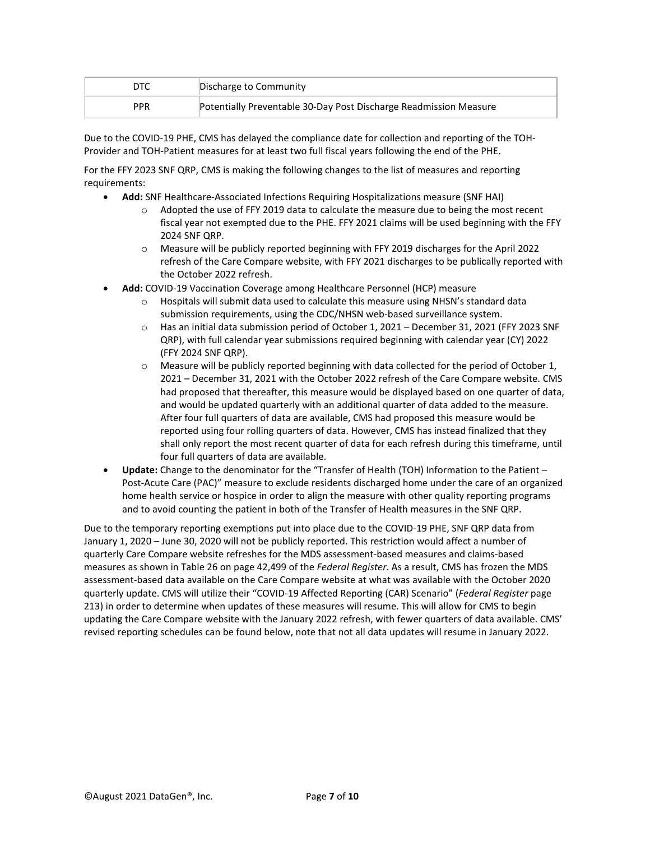| DTC        | Discharge to Community                                            |
|------------|-------------------------------------------------------------------|
| <b>PPR</b> | Potentially Preventable 30-Day Post Discharge Readmission Measure |

Due to the COVID-19 PHE, CMS has delayed the compliance date for collection and reporting of the TOH-Provider and TOH-Patient measures for at least two full fiscal years following the end of the PHE.

For the FFY 2023 SNF QRP, CMS is making the following changes to the list of measures and reporting requirements:

- **Add:** SNF Healthcare-Associated Infections Requiring Hospitalizations measure (SNF HAI)
	- $\circ$  Adopted the use of FFY 2019 data to calculate the measure due to being the most recent fiscal year not exempted due to the PHE. FFY 2021 claims will be used beginning with the FFY 2024 SNF QRP.
	- $\circ$  Measure will be publicly reported beginning with FFY 2019 discharges for the April 2022 refresh of the Care Compare website, with FFY 2021 discharges to be publically reported with the October 2022 refresh.
- **Add:** COVID-19 Vaccination Coverage among Healthcare Personnel (HCP) measure
	- $\circ$  Hospitals will submit data used to calculate this measure using NHSN's standard data submission requirements, using the CDC/NHSN web-based surveillance system.
	- o Has an initial data submission period of October 1, 2021 December 31, 2021 (FFY 2023 SNF QRP), with full calendar year submissions required beginning with calendar year (CY) 2022 (FFY 2024 SNF QRP).
	- $\circ$  Measure will be publicly reported beginning with data collected for the period of October 1, 2021 – December 31, 2021 with the October 2022 refresh of the Care Compare website. CMS had proposed that thereafter, this measure would be displayed based on one quarter of data, and would be updated quarterly with an additional quarter of data added to the measure. After four full quarters of data are available, CMS had proposed this measure would be reported using four rolling quarters of data. However, CMS has instead finalized that they shall only report the most recent quarter of data for each refresh during this timeframe, until four full quarters of data are available.
- **Update:** Change to the denominator for the "Transfer of Health (TOH) Information to the Patient Post-Acute Care (PAC)" measure to exclude residents discharged home under the care of an organized home health service or hospice in order to align the measure with other quality reporting programs and to avoid counting the patient in both of the Transfer of Health measures in the SNF QRP.

Due to the temporary reporting exemptions put into place due to the COVID-19 PHE, SNF QRP data from January 1, 2020 – June 30, 2020 will not be publicly reported. This restriction would affect a number of quarterly Care Compare website refreshes for the MDS assessment-based measures and claims-based measures as shown in Table 26 on page 42,499 of the *Federal Register*. As a result, CMS has frozen the MDS assessment-based data available on the Care Compare website at what was available with the October 2020 quarterly update. CMS will utilize their "COVID-19 Affected Reporting (CAR) Scenario" (*Federal Register* page 213) in order to determine when updates of these measures will resume. This will allow for CMS to begin updating the Care Compare website with the January 2022 refresh, with fewer quarters of data available. CMS' revised reporting schedules can be found below, note that not all data updates will resume in January 2022.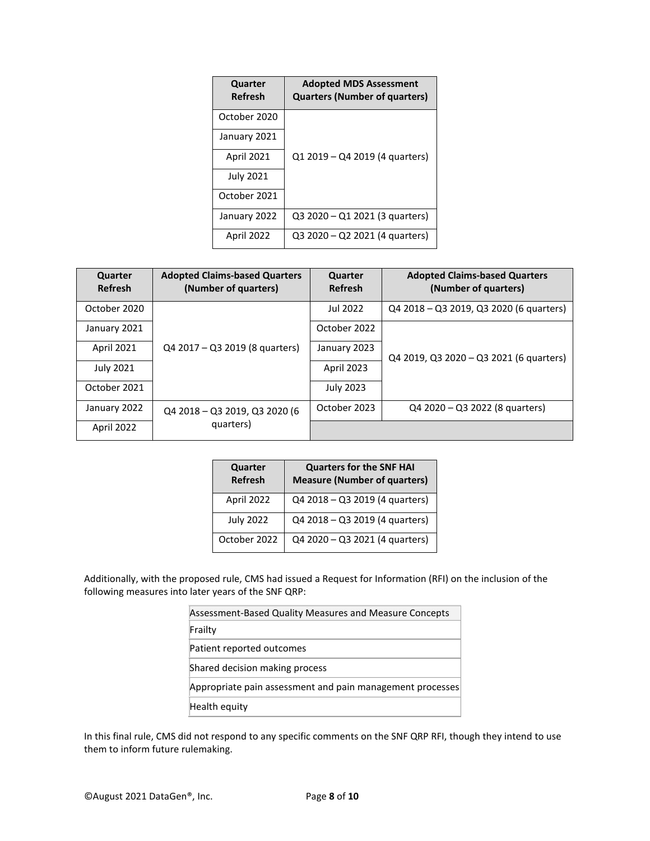| Quarter<br><b>Refresh</b> | <b>Adopted MDS Assessment</b><br><b>Quarters (Number of quarters)</b> |
|---------------------------|-----------------------------------------------------------------------|
| October 2020              |                                                                       |
| January 2021              |                                                                       |
| April 2021                | Q1 2019 – Q4 2019 (4 quarters)                                        |
| <b>July 2021</b>          |                                                                       |
| October 2021              |                                                                       |
| January 2022              | Q3 2020 – Q1 2021 (3 quarters)                                        |
| April 2022                | Q3 2020 – Q2 2021 (4 quarters)                                        |

| Quarter<br>Refresh | <b>Adopted Claims-based Quarters</b><br>(Number of quarters) | Quarter<br>Refresh | <b>Adopted Claims-based Quarters</b><br>(Number of quarters) |
|--------------------|--------------------------------------------------------------|--------------------|--------------------------------------------------------------|
| October 2020       |                                                              | Jul 2022           | Q4 2018 - Q3 2019, Q3 2020 (6 quarters)                      |
| January 2021       |                                                              | October 2022       | Q4 2019, Q3 2020 - Q3 2021 (6 quarters)                      |
| April 2021         | Q4 2017 - Q3 2019 (8 quarters)                               | January 2023       |                                                              |
| <b>July 2021</b>   |                                                              | April 2023         |                                                              |
| October 2021       |                                                              | <b>July 2023</b>   |                                                              |
| January 2022       | Q4 2018 - Q3 2019, Q3 2020 (6                                | October 2023       | Q4 2020 - Q3 2022 (8 quarters)                               |
| April 2022         | quarters)                                                    |                    |                                                              |

| Quarter<br><b>Refresh</b> | <b>Quarters for the SNF HAI</b><br><b>Measure (Number of quarters)</b> |
|---------------------------|------------------------------------------------------------------------|
| April 2022                | Q4 2018 - Q3 2019 (4 quarters)                                         |
| <b>July 2022</b>          | Q4 2018 - Q3 2019 (4 quarters)                                         |
| October 2022              | Q4 2020 - Q3 2021 (4 quarters)                                         |

Additionally, with the proposed rule, CMS had issued a Request for Information (RFI) on the inclusion of the following measures into later years of the SNF QRP:

| Assessment-Based Quality Measures and Measure Concepts    |
|-----------------------------------------------------------|
| Frailty                                                   |
| Patient reported outcomes                                 |
| Shared decision making process                            |
| Appropriate pain assessment and pain management processes |
| Health equity                                             |

In this final rule, CMS did not respond to any specific comments on the SNF QRP RFI, though they intend to use them to inform future rulemaking.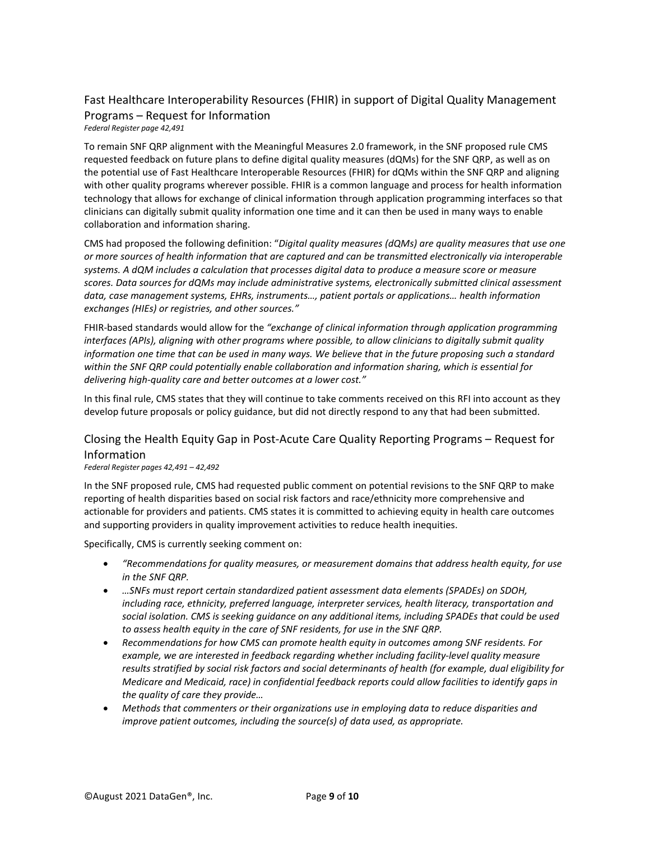### Fast Healthcare Interoperability Resources (FHIR) in support of Digital Quality Management Programs – Request for Information

*Federal Register page 42,491*

To remain SNF QRP alignment with the Meaningful Measures 2.0 framework, in the SNF proposed rule CMS requested feedback on future plans to define digital quality measures (dQMs) for the SNF QRP, as well as on the potential use of Fast Healthcare Interoperable Resources (FHIR) for dQMs within the SNF QRP and aligning with other quality programs wherever possible. FHIR is a common language and process for health information technology that allows for exchange of clinical information through application programming interfaces so that clinicians can digitally submit quality information one time and it can then be used in many ways to enable collaboration and information sharing.

CMS had proposed the following definition: "*Digital quality measures (dQMs) are quality measures that use one or more sources of health information that are captured and can be transmitted electronically via interoperable systems. A dQM includes a calculation that processes digital data to produce a measure score or measure scores. Data sources for dQMs may include administrative systems, electronically submitted clinical assessment data, case management systems, EHRs, instruments…, patient portals or applications… health information exchanges (HIEs) or registries, and other sources."*

FHIR-based standards would allow for the *"exchange of clinical information through application programming interfaces (APIs), aligning with other programs where possible, to allow clinicians to digitally submit quality information one time that can be used in many ways. We believe that in the future proposing such a standard within the SNF QRP could potentially enable collaboration and information sharing, which is essential for delivering high-quality care and better outcomes at a lower cost."*

In this final rule, CMS states that they will continue to take comments received on this RFI into account as they develop future proposals or policy guidance, but did not directly respond to any that had been submitted.

### Closing the Health Equity Gap in Post-Acute Care Quality Reporting Programs – Request for Information

*Federal Register pages 42,491 – 42,492*

In the SNF proposed rule, CMS had requested public comment on potential revisions to the SNF QRP to make reporting of health disparities based on social risk factors and race/ethnicity more comprehensive and actionable for providers and patients. CMS states it is committed to achieving equity in health care outcomes and supporting providers in quality improvement activities to reduce health inequities.

Specifically, CMS is currently seeking comment on:

- *"Recommendations for quality measures, or measurement domains that address health equity, for use in the SNF QRP.*
- *…SNFs must report certain standardized patient assessment data elements (SPADEs) on SDOH, including race, ethnicity, preferred language, interpreter services, health literacy, transportation and social isolation. CMS is seeking guidance on any additional items, including SPADEs that could be used to assess health equity in the care of SNF residents, for use in the SNF QRP.*
- *Recommendations for how CMS can promote health equity in outcomes among SNF residents. For example, we are interested in feedback regarding whether including facility-level quality measure results stratified by social risk factors and social determinants of health (for example, dual eligibility for Medicare and Medicaid, race) in confidential feedback reports could allow facilities to identify gaps in the quality of care they provide…*
- *Methods that commenters or their organizations use in employing data to reduce disparities and improve patient outcomes, including the source(s) of data used, as appropriate.*